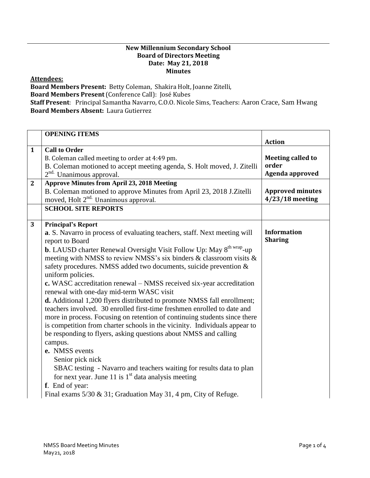## **New Millennium Secondary School Board of Directors Meeting Date: May 21, 2018 Minutes**

## **Attendees:**

**Board Members Present:** Betty Coleman, Shakira Holt, Joanne Zitelli, **Board Members Present** (Conference Call): José Kubes **Staff Present**: Principal Samantha Navarro, C.O.O. Nicole Sims, Teachers: Aaron Crace, Sam Hwang **Board Members Absent:** Laura Gutierrez

|                | <b>OPENING ITEMS</b>                                                                    |                          |
|----------------|-----------------------------------------------------------------------------------------|--------------------------|
|                |                                                                                         | <b>Action</b>            |
| $\mathbf{1}$   | <b>Call to Order</b>                                                                    |                          |
|                | B. Coleman called meeting to order at 4:49 pm.                                          | <b>Meeting called to</b> |
|                | B. Coleman motioned to accept meeting agenda, S. Holt moved, J. Zitelli                 | order                    |
|                | 2 <sup>nd.</sup> Unanimous approval.                                                    | Agenda approved          |
| $\overline{2}$ | <b>Approve Minutes from April 23, 2018 Meeting</b>                                      |                          |
|                | B. Coleman motioned to approve Minutes from April 23, 2018 J.Zitelli                    | <b>Approved minutes</b>  |
|                | moved, Holt 2 <sup>nd.</sup> Unanimous approval.                                        | $4/23/18$ meeting        |
|                | <b>SCHOOL SITE REPORTS</b>                                                              |                          |
|                |                                                                                         |                          |
| 3              | <b>Principal's Report</b>                                                               |                          |
|                | a. S. Navarro in process of evaluating teachers, staff. Next meeting will               | <b>Information</b>       |
|                | report to Board                                                                         | <b>Sharing</b>           |
|                | <b>b.</b> LAUSD charter Renewal Oversight Visit Follow Up: May 8 <sup>th wrap</sup> -up |                          |
|                | meeting with NMSS to review NMSS's six binders & classroom visits &                     |                          |
|                | safety procedures. NMSS added two documents, suicide prevention &                       |                          |
|                | uniform policies.                                                                       |                          |
|                | c. WASC accreditation renewal – NMSS received six-year accreditation                    |                          |
|                | renewal with one-day mid-term WASC visit                                                |                          |
|                | d. Additional 1,200 flyers distributed to promote NMSS fall enrollment;                 |                          |
|                | teachers involved. 30 enrolled first-time freshmen enrolled to date and                 |                          |
|                | more in process. Focusing on retention of continuing students since there               |                          |
|                | is competition from charter schools in the vicinity. Individuals appear to              |                          |
|                | be responding to flyers, asking questions about NMSS and calling                        |                          |
|                | campus.                                                                                 |                          |
|                | e. NMSS events                                                                          |                          |
|                | Senior pick nick                                                                        |                          |
|                | SBAC testing - Navarro and teachers waiting for results data to plan                    |                          |
|                | for next year. June 11 is $1st$ data analysis meeting                                   |                          |
|                | f. End of year:                                                                         |                          |
|                | Final exams 5/30 & 31; Graduation May 31, 4 pm, City of Refuge.                         |                          |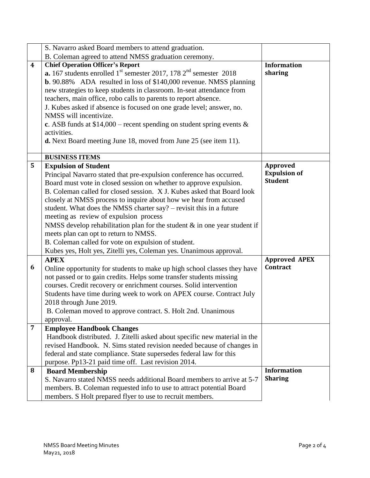|                         | S. Navarro asked Board members to attend graduation.                                                                                                                                                                                                                                                                                                                                                                                                                                                                                                                                                                                                                                                                                                                                                                                                                                                                                                                                                                                       |                                                                                       |
|-------------------------|--------------------------------------------------------------------------------------------------------------------------------------------------------------------------------------------------------------------------------------------------------------------------------------------------------------------------------------------------------------------------------------------------------------------------------------------------------------------------------------------------------------------------------------------------------------------------------------------------------------------------------------------------------------------------------------------------------------------------------------------------------------------------------------------------------------------------------------------------------------------------------------------------------------------------------------------------------------------------------------------------------------------------------------------|---------------------------------------------------------------------------------------|
|                         | B. Coleman agreed to attend NMSS graduation ceremony.                                                                                                                                                                                                                                                                                                                                                                                                                                                                                                                                                                                                                                                                                                                                                                                                                                                                                                                                                                                      |                                                                                       |
| $\overline{\mathbf{4}}$ | <b>Chief Operation Officer's Report</b><br><b>a.</b> 167 students enrolled $1st$ semester 2017, 178 $2nd$ semester 2018<br><b>b.</b> 90.88% ADA resulted in loss of \$140,000 revenue. NMSS planning<br>new strategies to keep students in classroom. In-seat attendance from<br>teachers, main office, robo calls to parents to report absence.<br>J. Kubes asked if absence is focused on one grade level; answer, no.<br>NMSS will incentivize.<br>c. ASB funds at $$14,000$ – recent spending on student spring events &<br>activities.<br>d. Next Board meeting June 18, moved from June 25 (see item 11).                                                                                                                                                                                                                                                                                                                                                                                                                            | <b>Information</b><br>sharing                                                         |
|                         | <b>BUSINESS ITEMS</b>                                                                                                                                                                                                                                                                                                                                                                                                                                                                                                                                                                                                                                                                                                                                                                                                                                                                                                                                                                                                                      |                                                                                       |
| 5<br>6                  | <b>Expulsion of Student</b><br>Principal Navarro stated that pre-expulsion conference has occurred.<br>Board must vote in closed session on whether to approve expulsion.<br>B. Coleman called for closed session. X J. Kubes asked that Board look<br>closely at NMSS process to inquire about how we hear from accused<br>student. What does the NMSS charter say? – revisit this in a future<br>meeting as review of expulsion process<br>NMSS develop rehabilitation plan for the student $\&$ in one year student if<br>meets plan can opt to return to NMSS.<br>B. Coleman called for vote on expulsion of student.<br>Kubes yes, Holt yes, Zitelli yes, Coleman yes. Unanimous approval.<br><b>APEX</b><br>Online opportunity for students to make up high school classes they have<br>not passed or to gain credits. Helps some transfer students missing<br>courses. Credit recovery or enrichment courses. Solid intervention<br>Students have time during week to work on APEX course. Contract July<br>2018 through June 2019. | Approved<br><b>Expulsion of</b><br><b>Student</b><br><b>Approved APEX</b><br>Contract |
|                         | B. Coleman moved to approve contract. S. Holt 2nd. Unanimous                                                                                                                                                                                                                                                                                                                                                                                                                                                                                                                                                                                                                                                                                                                                                                                                                                                                                                                                                                               |                                                                                       |
| $\overline{7}$          | approval.                                                                                                                                                                                                                                                                                                                                                                                                                                                                                                                                                                                                                                                                                                                                                                                                                                                                                                                                                                                                                                  |                                                                                       |
|                         | <b>Employee Handbook Changes</b><br>Handbook distributed. J. Zitelli asked about specific new material in the<br>revised Handbook. N. Sims stated revision needed because of changes in<br>federal and state compliance. State supersedes federal law for this<br>purpose. Pp13-21 paid time off. Last revision 2014.                                                                                                                                                                                                                                                                                                                                                                                                                                                                                                                                                                                                                                                                                                                      |                                                                                       |
| 8                       | <b>Board Membership</b>                                                                                                                                                                                                                                                                                                                                                                                                                                                                                                                                                                                                                                                                                                                                                                                                                                                                                                                                                                                                                    | <b>Information</b>                                                                    |
|                         | S. Navarro stated NMSS needs additional Board members to arrive at 5-7<br>members. B. Coleman requested info to use to attract potential Board<br>members. S Holt prepared flyer to use to recruit members.                                                                                                                                                                                                                                                                                                                                                                                                                                                                                                                                                                                                                                                                                                                                                                                                                                | <b>Sharing</b>                                                                        |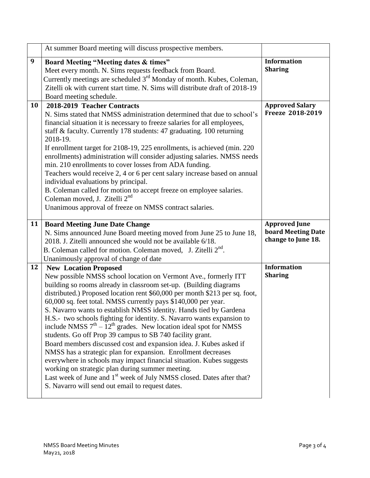|    | At summer Board meeting will discuss prospective members.                                                                                                                                                                                                                                                                                                                                                                                                                                                                                                                                                                                                                                                                                                                                                                                                                                                                                                        |                                                                  |
|----|------------------------------------------------------------------------------------------------------------------------------------------------------------------------------------------------------------------------------------------------------------------------------------------------------------------------------------------------------------------------------------------------------------------------------------------------------------------------------------------------------------------------------------------------------------------------------------------------------------------------------------------------------------------------------------------------------------------------------------------------------------------------------------------------------------------------------------------------------------------------------------------------------------------------------------------------------------------|------------------------------------------------------------------|
| 9  | Board Meeting "Meeting dates & times"<br>Meet every month. N. Sims requests feedback from Board.<br>Currently meetings are scheduled 3 <sup>rd</sup> Monday of month. Kubes, Coleman,<br>Zitelli ok with current start time. N. Sims will distribute draft of 2018-19<br>Board meeting schedule.                                                                                                                                                                                                                                                                                                                                                                                                                                                                                                                                                                                                                                                                 | <b>Information</b><br><b>Sharing</b>                             |
| 10 | 2018-2019 Teacher Contracts<br>N. Sims stated that NMSS administration determined that due to school's<br>financial situation it is necessary to freeze salaries for all employees,<br>staff & faculty. Currently 178 students: 47 graduating. 100 returning<br>2018-19.<br>If enrollment target for 2108-19, 225 enrollments, is achieved (min. 220)<br>enrollments) administration will consider adjusting salaries. NMSS needs<br>min. 210 enrollments to cover losses from ADA funding.<br>Teachers would receive 2, 4 or 6 per cent salary increase based on annual<br>individual evaluations by principal.<br>B. Coleman called for motion to accept freeze on employee salaries.<br>Coleman moved, J. Zitelli 2 <sup>nd</sup><br>Unanimous approval of freeze on NMSS contract salaries.                                                                                                                                                                  | <b>Approved Salary</b><br>Freeze 2018-2019                       |
| 11 | <b>Board Meeting June Date Change</b><br>N. Sims announced June Board meeting moved from June 25 to June 18,<br>2018. J. Zitelli announced she would not be available 6/18.<br>B. Coleman called for motion. Coleman moved, J. Zitelli 2 <sup>nd</sup> .<br>Unanimously approval of change of date                                                                                                                                                                                                                                                                                                                                                                                                                                                                                                                                                                                                                                                               | <b>Approved June</b><br>board Meeting Date<br>change to June 18. |
| 12 | <b>New Location Proposed</b><br>New possible NMSS school location on Vermont Ave., formerly ITT<br>building so rooms already in classroom set-up. (Building diagrams<br>distributed.) Proposed location rent \$60,000 per month \$213 per sq. foot,<br>60,000 sq. feet total. NMSS currently pays \$140,000 per year.<br>S. Navarro wants to establish NMSS identity. Hands tied by Gardena<br>H.S.- two schools fighting for identity. S. Navarro wants expansion to<br>include NMSS $7th - 12th$ grades. New location ideal spot for NMSS<br>students. Go off Prop 39 campus to SB 740 facility grant.<br>Board members discussed cost and expansion idea. J. Kubes asked if<br>NMSS has a strategic plan for expansion. Enrollment decreases<br>everywhere in schools may impact financial situation. Kubes suggests<br>working on strategic plan during summer meeting.<br>Last week of June and 1 <sup>st</sup> week of July NMSS closed. Dates after that? | <b>Information</b><br><b>Sharing</b>                             |